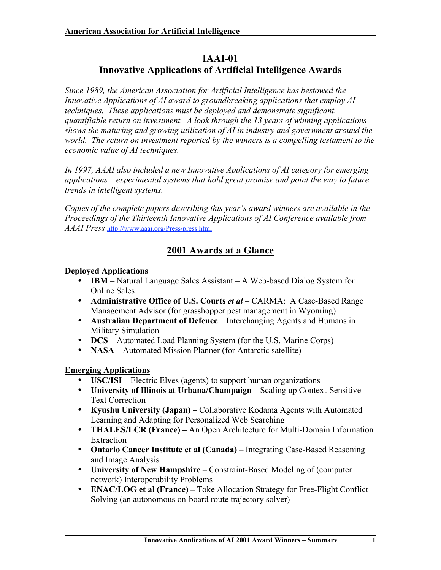### **IAAI-01 Innovative Applications of Artificial Intelligence Awards**

*Since 1989, the American Association for Artificial Intelligence has bestowed the Innovative Applications of AI award to groundbreaking applications that employ AI techniques. These applications must be deployed and demonstrate significant, quantifiable return on investment. A look through the 13 years of winning applications shows the maturing and growing utilization of AI in industry and government around the world. The return on investment reported by the winners is a compelling testament to the economic value of AI techniques.*

*In 1997, AAAI also included a new Innovative Applications of AI category for emerging applications – experimental systems that hold great promise and point the way to future trends in intelligent systems.*

*Copies of the complete papers describing this year's award winners are available in the Proceedings of the Thirteenth Innovative Applications of AI Conference available from AAAI Press* http://www.aaai.org/Press/press.html

## **2001 Awards at a Glance**

#### **Deployed Applications**

**IBM** – Natural Language Sales Assistant – A Web-based Dialog System for Online Sales

**Administrative Office of U.S. Courts** *et al* – CARMA: A Case-Based Range Management Advisor (for grasshopper pest management in Wyoming) **Australian Department of Defence** – Interchanging Agents and Humans in Military Simulation

**DCS** – Automated Load Planning System (for the U.S. Marine Corps) **NASA** – Automated Mission Planner (for Antarctic satellite)

#### **Emerging Applications**

**USC/ISI** – Electric Elves (agents) to support human organizations **University of Illinois at Urbana/Champaign –** Scaling up Context-Sensitive Text Correction

**Kyushu University (Japan) –** Collaborative Kodama Agents with Automated Learning and Adapting for Personalized Web Searching

**THALES/LCR (France) –** An Open Architecture for Multi-Domain Information Extraction

**Ontario Cancer Institute et al (Canada) –** Integrating Case-Based Reasoning and Image Analysis

**University of New Hampshire –** Constraint-Based Modeling of (computer network) Interoperability Problems

**ENAC/LOG et al (France) –** Toke Allocation Strategy for Free-Flight Conflict Solving (an autonomous on-board route trajectory solver)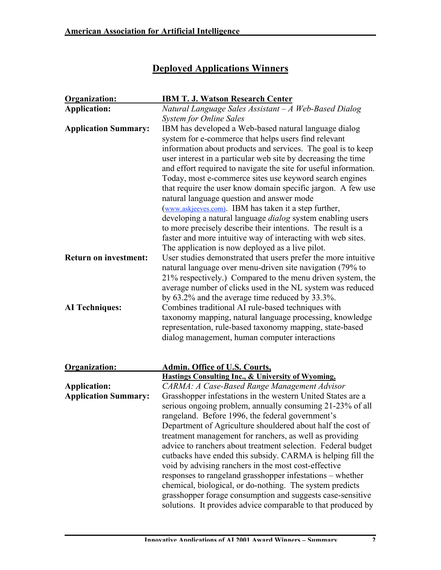# **Deployed Applications Winners**

| Organization:                | <b>IBM T. J. Watson Research Center</b>                           |
|------------------------------|-------------------------------------------------------------------|
| <b>Application:</b>          | Natural Language Sales Assistant - A Web-Based Dialog             |
|                              | <b>System for Online Sales</b>                                    |
| <b>Application Summary:</b>  | IBM has developed a Web-based natural language dialog             |
|                              | system for e-commerce that helps users find relevant              |
|                              | information about products and services. The goal is to keep      |
|                              | user interest in a particular web site by decreasing the time     |
|                              | and effort required to navigate the site for useful information.  |
|                              | Today, most e-commerce sites use keyword search engines           |
|                              | that require the user know domain specific jargon. A few use      |
|                              | natural language question and answer mode                         |
|                              | (www.askjeeves.com). IBM has taken it a step further,             |
|                              | developing a natural language <i>dialog</i> system enabling users |
|                              | to more precisely describe their intentions. The result is a      |
|                              | faster and more intuitive way of interacting with web sites.      |
|                              | The application is now deployed as a live pilot.                  |
| <b>Return on investment:</b> | User studies demonstrated that users prefer the more intuitive    |
|                              | natural language over menu-driven site navigation (79% to         |
|                              | 21% respectively.) Compared to the menu driven system, the        |
|                              | average number of clicks used in the NL system was reduced        |
|                              | by 63.2% and the average time reduced by 33.3%.                   |
| <b>AI</b> Techniques:        | Combines traditional AI rule-based techniques with                |
|                              | taxonomy mapping, natural language processing, knowledge          |
|                              | representation, rule-based taxonomy mapping, state-based          |
|                              | dialog management, human computer interactions                    |
|                              |                                                                   |
| Organization:                | <b>Admin. Office of U.S. Courts,</b>                              |
|                              | <b>Hastings Consulting Inc., &amp; University of Wyoming,</b>     |
| <b>Application:</b>          | CARMA: A Case-Based Range Management Advisor                      |
| <b>Application Summary:</b>  | Grasshopper infestations in the western United States are a       |
|                              | serious ongoing problem, annually consuming 21-23% of all         |
|                              | rangeland. Before 1996, the federal government's                  |
|                              | Department of Agriculture shouldered about half the cost of       |
|                              | treatment management for ranchers, as well as providing           |
|                              | advice to ranchers about treatment selection. Federal budget      |
|                              | cutbacks have ended this subsidy. CARMA is helping fill the       |
|                              | void by advising ranchers in the most cost-effective              |
|                              | responses to rangeland grasshopper infestations – whether         |
|                              | chemical, biological, or do-nothing. The system predicts          |
|                              | grasshopper forage consumption and suggests case-sensitive        |
|                              | solutions. It provides advice comparable to that produced by      |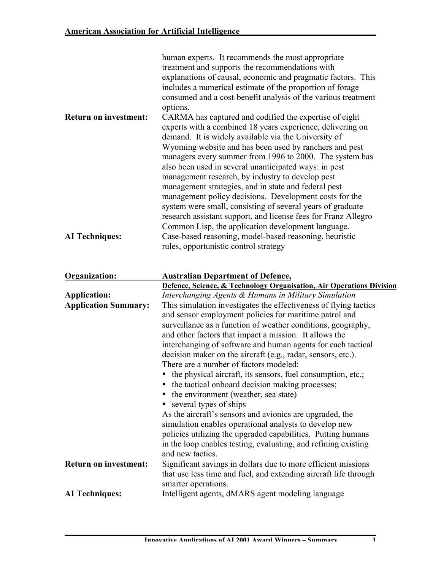| human experts. It recommends the most appropriate<br>treatment and supports the recommendations with<br>explanations of causal, economic and pragmatic factors. This<br>includes a numerical estimate of the proportion of forage<br>consumed and a cost-benefit analysis of the various treatment<br>options.                                                                                                                                                                                                                                                                                                                                                                                                                           |
|------------------------------------------------------------------------------------------------------------------------------------------------------------------------------------------------------------------------------------------------------------------------------------------------------------------------------------------------------------------------------------------------------------------------------------------------------------------------------------------------------------------------------------------------------------------------------------------------------------------------------------------------------------------------------------------------------------------------------------------|
| CARMA has captured and codified the expertise of eight<br>experts with a combined 18 years experience, delivering on<br>demand. It is widely available via the University of<br>Wyoming website and has been used by ranchers and pest<br>managers every summer from 1996 to 2000. The system has<br>also been used in several unanticipated ways: in pest<br>management research, by industry to develop pest<br>management strategies, and in state and federal pest<br>management policy decisions. Development costs for the<br>system were small, consisting of several years of graduate<br>research assistant support, and license fees for Franz Allegro<br>Common Lisp, the application development language.                   |
| Case-based reasoning, model-based reasoning, heuristic<br>rules, opportunistic control strategy                                                                                                                                                                                                                                                                                                                                                                                                                                                                                                                                                                                                                                          |
|                                                                                                                                                                                                                                                                                                                                                                                                                                                                                                                                                                                                                                                                                                                                          |
| <b>Australian Department of Defence,</b>                                                                                                                                                                                                                                                                                                                                                                                                                                                                                                                                                                                                                                                                                                 |
| Defence, Science, & Technology Organisation, Air Operations Division<br>Interchanging Agents & Humans in Military Simulation                                                                                                                                                                                                                                                                                                                                                                                                                                                                                                                                                                                                             |
| This simulation investigates the effectiveness of flying tactics<br>and sensor employment policies for maritime patrol and<br>surveillance as a function of weather conditions, geography,<br>and other factors that impact a mission. It allows the<br>interchanging of software and human agents for each tactical<br>decision maker on the aircraft (e.g., radar, sensors, etc.).<br>There are a number of factors modeled:<br>the physical aircraft, its sensors, fuel consumption, etc.;<br>the tactical onboard decision making processes;<br>the environment (weather, sea state)<br>several types of ships<br>As the aircraft's sensors and avionics are upgraded, the<br>simulation enables operational analysts to develop new |
| policies utilizing the upgraded capabilities. Putting humans<br>in the loop enables testing, evaluating, and refining existing                                                                                                                                                                                                                                                                                                                                                                                                                                                                                                                                                                                                           |
| and new tactics.<br>Significant savings in dollars due to more efficient missions<br>that use less time and fuel, and extending aircraft life through<br>smarter operations.                                                                                                                                                                                                                                                                                                                                                                                                                                                                                                                                                             |
|                                                                                                                                                                                                                                                                                                                                                                                                                                                                                                                                                                                                                                                                                                                                          |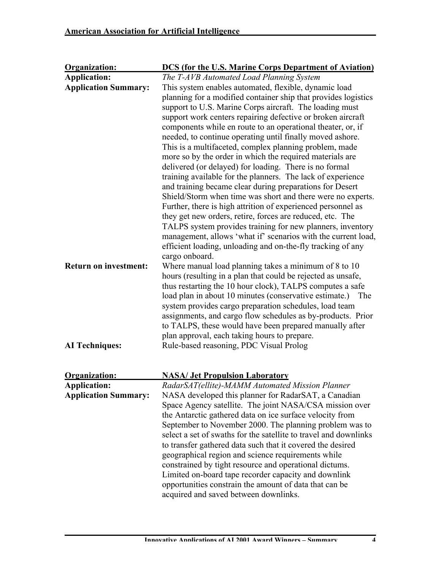| Organization:                | <b>DCS (for the U.S. Marine Corps Department of Aviation)</b>    |
|------------------------------|------------------------------------------------------------------|
| <b>Application:</b>          | The T-AVB Automated Load Planning System                         |
| <b>Application Summary:</b>  | This system enables automated, flexible, dynamic load            |
|                              | planning for a modified container ship that provides logistics   |
|                              | support to U.S. Marine Corps aircraft. The loading must          |
|                              | support work centers repairing defective or broken aircraft      |
|                              | components while en route to an operational theater, or, if      |
|                              | needed, to continue operating until finally moved ashore.        |
|                              | This is a multifaceted, complex planning problem, made           |
|                              | more so by the order in which the required materials are         |
|                              | delivered (or delayed) for loading. There is no formal           |
|                              | training available for the planners. The lack of experience      |
|                              | and training became clear during preparations for Desert         |
|                              | Shield/Storm when time was short and there were no experts.      |
|                              | Further, there is high attrition of experienced personnel as     |
|                              | they get new orders, retire, forces are reduced, etc. The        |
|                              | TALPS system provides training for new planners, inventory       |
|                              | management, allows 'what if' scenarios with the current load,    |
|                              | efficient loading, unloading and on-the-fly tracking of any      |
|                              | cargo onboard.                                                   |
| <b>Return on investment:</b> | Where manual load planning takes a minimum of 8 to 10            |
|                              | hours (resulting in a plan that could be rejected as unsafe,     |
|                              | thus restarting the 10 hour clock), TALPS computes a safe        |
|                              | load plan in about 10 minutes (conservative estimate.)<br>The    |
|                              | system provides cargo preparation schedules, load team           |
|                              | assignments, and cargo flow schedules as by-products. Prior      |
|                              | to TALPS, these would have been prepared manually after          |
|                              | plan approval, each taking hours to prepare.                     |
| <b>AI Techniques:</b>        | Rule-based reasoning, PDC Visual Prolog                          |
|                              |                                                                  |
| Organization:                | <b>NASA/Jet Propulsion Laboratory</b>                            |
| <b>Application:</b>          | RadarSAT(ellite)-MAMM Automated Mission Planner                  |
| <b>Application Summary:</b>  | NASA developed this planner for RadarSAT, a Canadian             |
|                              | Space Agency satellite. The joint NASA/CSA mission over          |
|                              | the Antarctic gathered data on ice surface velocity from         |
|                              | September to November 2000. The planning problem was to          |
|                              | select a set of swaths for the satellite to travel and downlinks |
|                              | to transfer gathered data such that it covered the desired       |
|                              | geographical region and science requirements while               |
|                              | constrained by tight resource and operational dictums.           |
|                              | Limited on-board tape recorder capacity and downlink             |
|                              | opportunities constrain the amount of data that can be           |
|                              | acquired and saved between downlinks.                            |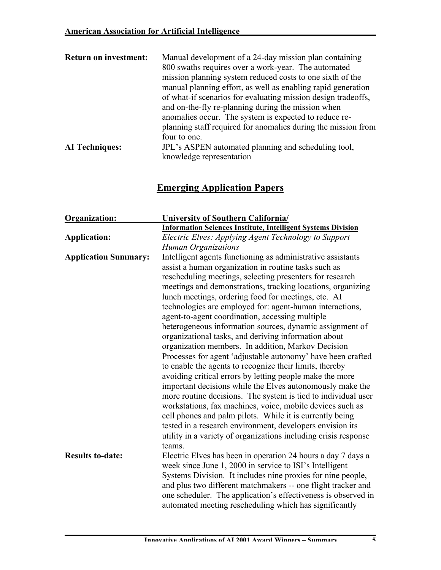| <b>Return on investment:</b> | Manual development of a 24-day mission plan containing        |
|------------------------------|---------------------------------------------------------------|
|                              | 800 swaths requires over a work-year. The automated           |
|                              | mission planning system reduced costs to one sixth of the     |
|                              | manual planning effort, as well as enabling rapid generation  |
|                              | of what-if scenarios for evaluating mission design tradeoffs, |
|                              | and on-the-fly re-planning during the mission when            |
|                              | anomalies occur. The system is expected to reduce re-         |
|                              | planning staff required for anomalies during the mission from |
|                              | four to one.                                                  |
| <b>AI</b> Techniques:        | JPL's ASPEN automated planning and scheduling tool,           |
|                              | knowledge representation                                      |

## **Emerging Application Papers**

| <b>Organization:</b>        | <b>University of Southern California</b>                            |
|-----------------------------|---------------------------------------------------------------------|
|                             | <b>Information Sciences Institute, Intelligent Systems Division</b> |
| <b>Application:</b>         | Electric Elves: Applying Agent Technology to Support                |
|                             | <b>Human Organizations</b>                                          |
| <b>Application Summary:</b> | Intelligent agents functioning as administrative assistants         |
|                             | assist a human organization in routine tasks such as                |
|                             | rescheduling meetings, selecting presenters for research            |
|                             | meetings and demonstrations, tracking locations, organizing         |
|                             | lunch meetings, ordering food for meetings, etc. AI                 |
|                             | technologies are employed for: agent-human interactions,            |
|                             | agent-to-agent coordination, accessing multiple                     |
|                             | heterogeneous information sources, dynamic assignment of            |
|                             | organizational tasks, and deriving information about                |
|                             | organization members. In addition, Markov Decision                  |
|                             | Processes for agent 'adjustable autonomy' have been crafted         |
|                             | to enable the agents to recognize their limits, thereby             |
|                             | avoiding critical errors by letting people make the more            |
|                             | important decisions while the Elves autonomously make the           |
|                             | more routine decisions. The system is tied to individual user       |
|                             | workstations, fax machines, voice, mobile devices such as           |
|                             | cell phones and palm pilots. While it is currently being            |
|                             | tested in a research environment, developers envision its           |
|                             | utility in a variety of organizations including crisis response     |
|                             | teams.                                                              |
| <b>Results to-date:</b>     | Electric Elves has been in operation 24 hours a day 7 days a        |
|                             | week since June 1, 2000 in service to ISI's Intelligent             |
|                             | Systems Division. It includes nine proxies for nine people,         |
|                             | and plus two different matchmakers -- one flight tracker and        |
|                             | one scheduler. The application's effectiveness is observed in       |
|                             | automated meeting rescheduling which has significantly              |
|                             |                                                                     |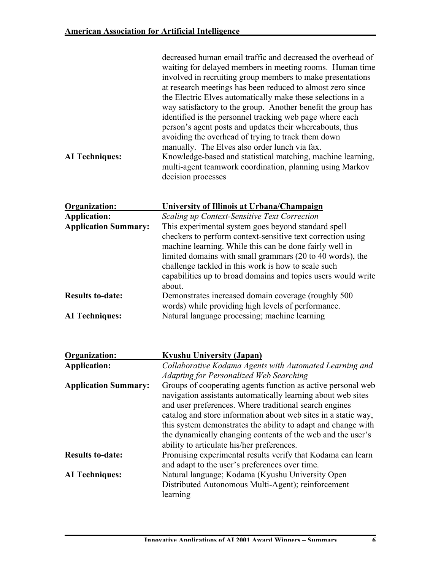| <b>AI</b> Techniques:       | decreased human email traffic and decreased the overhead of<br>waiting for delayed members in meeting rooms. Human time<br>involved in recruiting group members to make presentations<br>at research meetings has been reduced to almost zero since<br>the Electric Elves automatically make these selections in a<br>way satisfactory to the group. Another benefit the group has<br>identified is the personnel tracking web page where each<br>person's agent posts and updates their whereabouts, thus<br>avoiding the overhead of trying to track them down<br>manually. The Elves also order lunch via fax.<br>Knowledge-based and statistical matching, machine learning,<br>multi-agent teamwork coordination, planning using Markov<br>decision processes |
|-----------------------------|--------------------------------------------------------------------------------------------------------------------------------------------------------------------------------------------------------------------------------------------------------------------------------------------------------------------------------------------------------------------------------------------------------------------------------------------------------------------------------------------------------------------------------------------------------------------------------------------------------------------------------------------------------------------------------------------------------------------------------------------------------------------|
| Organization:               | University of Illinois at Urbana/Champaign                                                                                                                                                                                                                                                                                                                                                                                                                                                                                                                                                                                                                                                                                                                         |
| <b>Application:</b>         | Scaling up Context-Sensitive Text Correction                                                                                                                                                                                                                                                                                                                                                                                                                                                                                                                                                                                                                                                                                                                       |
| <b>Application Summary:</b> | This experimental system goes beyond standard spell                                                                                                                                                                                                                                                                                                                                                                                                                                                                                                                                                                                                                                                                                                                |
|                             | checkers to perform context-sensitive text correction using                                                                                                                                                                                                                                                                                                                                                                                                                                                                                                                                                                                                                                                                                                        |
|                             | machine learning. While this can be done fairly well in                                                                                                                                                                                                                                                                                                                                                                                                                                                                                                                                                                                                                                                                                                            |
|                             | limited domains with small grammars (20 to 40 words), the                                                                                                                                                                                                                                                                                                                                                                                                                                                                                                                                                                                                                                                                                                          |
|                             | challenge tackled in this work is how to scale such<br>capabilities up to broad domains and topics users would write                                                                                                                                                                                                                                                                                                                                                                                                                                                                                                                                                                                                                                               |
|                             | about.                                                                                                                                                                                                                                                                                                                                                                                                                                                                                                                                                                                                                                                                                                                                                             |
| <b>Results to-date:</b>     | Demonstrates increased domain coverage (roughly 500)                                                                                                                                                                                                                                                                                                                                                                                                                                                                                                                                                                                                                                                                                                               |
|                             | words) while providing high levels of performance.                                                                                                                                                                                                                                                                                                                                                                                                                                                                                                                                                                                                                                                                                                                 |
| <b>AI</b> Techniques:       | Natural language processing; machine learning                                                                                                                                                                                                                                                                                                                                                                                                                                                                                                                                                                                                                                                                                                                      |
|                             |                                                                                                                                                                                                                                                                                                                                                                                                                                                                                                                                                                                                                                                                                                                                                                    |
| Organization:               | <b>Kyushu University (Japan)</b>                                                                                                                                                                                                                                                                                                                                                                                                                                                                                                                                                                                                                                                                                                                                   |
| <b>Application:</b>         | Collaborative Kodama Agents with Automated Learning and                                                                                                                                                                                                                                                                                                                                                                                                                                                                                                                                                                                                                                                                                                            |
| <b>Application Summary:</b> | Adapting for Personalized Web Searching<br>Groups of cooperating agents function as active personal web                                                                                                                                                                                                                                                                                                                                                                                                                                                                                                                                                                                                                                                            |
|                             | navigation assistants automatically learning about web sites                                                                                                                                                                                                                                                                                                                                                                                                                                                                                                                                                                                                                                                                                                       |
|                             | and user preferences. Where traditional search engines                                                                                                                                                                                                                                                                                                                                                                                                                                                                                                                                                                                                                                                                                                             |
|                             | catalog and store information about web sites in a static way,                                                                                                                                                                                                                                                                                                                                                                                                                                                                                                                                                                                                                                                                                                     |
|                             | this system demonstrates the ability to adapt and change with                                                                                                                                                                                                                                                                                                                                                                                                                                                                                                                                                                                                                                                                                                      |
|                             | the dynamically changing contents of the web and the user's                                                                                                                                                                                                                                                                                                                                                                                                                                                                                                                                                                                                                                                                                                        |
|                             | ability to articulate his/her preferences.                                                                                                                                                                                                                                                                                                                                                                                                                                                                                                                                                                                                                                                                                                                         |
| <b>Results to-date:</b>     | Promising experimental results verify that Kodama can learn                                                                                                                                                                                                                                                                                                                                                                                                                                                                                                                                                                                                                                                                                                        |
| <b>AI</b> Techniques:       | and adapt to the user's preferences over time.<br>Natural language; Kodama (Kyushu University Open                                                                                                                                                                                                                                                                                                                                                                                                                                                                                                                                                                                                                                                                 |
|                             | Distributed Autonomous Multi-Agent); reinforcement                                                                                                                                                                                                                                                                                                                                                                                                                                                                                                                                                                                                                                                                                                                 |
|                             | learning                                                                                                                                                                                                                                                                                                                                                                                                                                                                                                                                                                                                                                                                                                                                                           |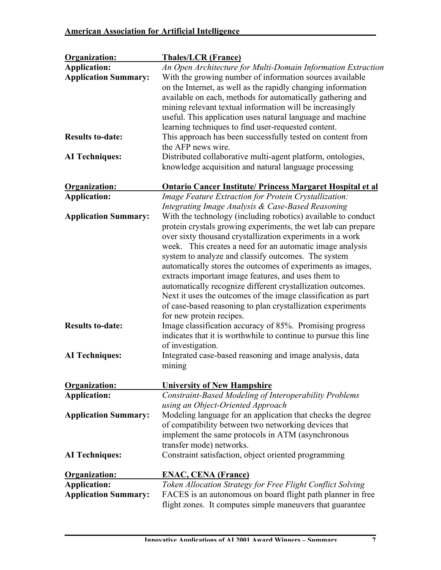| Organization:               | <b>Thales/LCR (France)</b>                                        |
|-----------------------------|-------------------------------------------------------------------|
| <b>Application:</b>         | An Open Architecture for Multi-Domain Information Extraction      |
| <b>Application Summary:</b> | With the growing number of information sources available          |
|                             | on the Internet, as well as the rapidly changing information      |
|                             | available on each, methods for automatically gathering and        |
|                             | mining relevant textual information will be increasingly          |
|                             | useful. This application uses natural language and machine        |
|                             | learning techniques to find user-requested content.               |
| <b>Results to-date:</b>     | This approach has been successfully tested on content from        |
|                             | the AFP news wire.                                                |
| <b>AI</b> Techniques:       | Distributed collaborative multi-agent platform, ontologies,       |
|                             |                                                                   |
|                             | knowledge acquisition and natural language processing             |
| Organization:               | <b>Ontario Cancer Institute/ Princess Margaret Hospital et al</b> |
| <b>Application:</b>         | Image Feature Extraction for Protein Crystallization:             |
|                             | Integrating Image Analysis & Case-Based Reasoning                 |
| <b>Application Summary:</b> | With the technology (including robotics) available to conduct     |
|                             | protein crystals growing experiments, the wet lab can prepare     |
|                             | over sixty thousand crystallization experiments in a work         |
|                             | week. This creates a need for an automatic image analysis         |
|                             | system to analyze and classify outcomes. The system               |
|                             | automatically stores the outcomes of experiments as images,       |
|                             | extracts important image features, and uses them to               |
|                             | automatically recognize different crystallization outcomes.       |
|                             |                                                                   |
|                             | Next it uses the outcomes of the image classification as part     |
|                             | of case-based reasoning to plan crystallization experiments       |
|                             | for new protein recipes.                                          |
| <b>Results to-date:</b>     | Image classification accuracy of 85%. Promising progress          |
|                             | indicates that it is worthwhile to continue to pursue this line   |
|                             | of investigation.                                                 |
| <b>AI</b> Techniques:       | Integrated case-based reasoning and image analysis, data          |
|                             | mining                                                            |
|                             |                                                                   |
| Organization:               | <b>University of New Hampshire</b>                                |
| <b>Application:</b>         | Constraint-Based Modeling of Interoperability Problems            |
|                             | using an Object-Oriented Approach                                 |
| <b>Application Summary:</b> | Modeling language for an application that checks the degree       |
|                             | of compatibility between two networking devices that              |
|                             | implement the same protocols in ATM (asynchronous                 |
|                             | transfer mode) networks.                                          |
| <b>AI</b> Techniques:       | Constraint satisfaction, object oriented programming              |
| Organization:               | <b>ENAC, CENA (France)</b>                                        |
|                             |                                                                   |
| <b>Application:</b>         | Token Allocation Strategy for Free Flight Conflict Solving        |
| <b>Application Summary:</b> | FACES is an autonomous on board flight path planner in free       |
|                             | flight zones. It computes simple maneuvers that guarantee         |